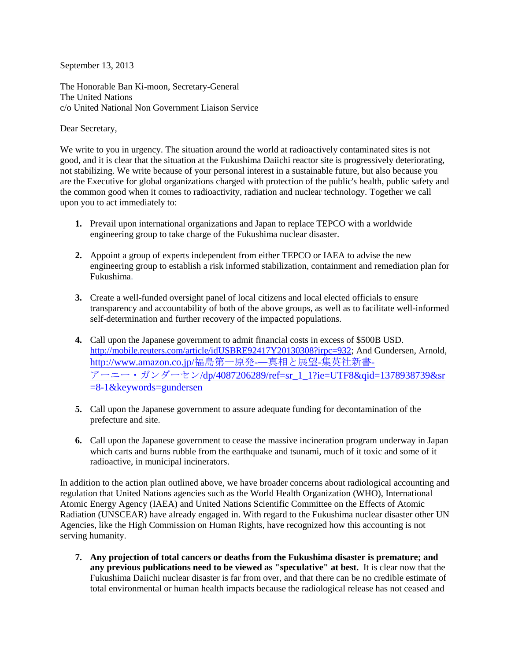September 13, 2013

The Honorable Ban Ki-moon, Secretary-General The United Nations c/o United National Non Government Liaison Service

Dear Secretary,

We write to you in urgency. The situation around the world at radioactively contaminated sites is not good, and it is clear that the situation at the Fukushima Daiichi reactor site is progressively deteriorating, not stabilizing. We write because of your personal interest in a sustainable future, but also because you are the Executive for global organizations charged with protection of the public's health, public safety and the common good when it comes to radioactivity, radiation and nuclear technology. Together we call upon you to act immediately to:

- **1.** Prevail upon international organizations and Japan to replace TEPCO with a worldwide engineering group to take charge of the Fukushima nuclear disaster.
- **2.** Appoint a group of experts independent from either TEPCO or IAEA to advise the new engineering group to establish a risk informed stabilization, containment and remediation plan for Fukushima.
- **3.** Create a well-funded oversight panel of local citizens and local elected officials to ensure transparency and accountability of both of the above groups, as well as to facilitate well-informed self-determination and further recovery of the impacted populations.
- **4.** Call upon the Japanese government to admit financial costs in excess of \$500B USD. [http://mobile.reuters.com/article/idUSBRE92417Y20130308?irpc=932;](http://mobile.reuters.com/article/idUSBRE92417Y20130308?irpc=932) And Gundersen, Arnold, [http://www.amazon.co.jp/](http://www.amazon.co.jp/福島第一原発-―真相と展望-集英社新書-アーニー・ガンダーセン/dp/4087206289/ref=sr_1_1?ie=UTF8&qid=1378938739&sr=8-1&keywords=gundersen)福島第一原発-―真相と展望-集英社新書-アーニー・ガンダーセン[/dp/4087206289/ref=sr\\_1\\_1?ie=UTF8&qid=1378938739&sr](http://www.amazon.co.jp/福島第一原発-―真相と展望-集英社新書-アーニー・ガンダーセン/dp/4087206289/ref=sr_1_1?ie=UTF8&qid=1378938739&sr=8-1&keywords=gundersen) [=8-1&keywords=gundersen](http://www.amazon.co.jp/福島第一原発-―真相と展望-集英社新書-アーニー・ガンダーセン/dp/4087206289/ref=sr_1_1?ie=UTF8&qid=1378938739&sr=8-1&keywords=gundersen)
- **5.** Call upon the Japanese government to assure adequate funding for decontamination of the prefecture and site.
- **6.** Call upon the Japanese government to cease the massive incineration program underway in Japan which carts and burns rubble from the earthquake and tsunami, much of it toxic and some of it radioactive, in municipal incinerators.

In addition to the action plan outlined above, we have broader concerns about radiological accounting and regulation that United Nations agencies such as the World Health Organization (WHO), International Atomic Energy Agency (IAEA) and United Nations Scientific Committee on the Effects of Atomic Radiation (UNSCEAR) have already engaged in. With regard to the Fukushima nuclear disaster other UN Agencies, like the High Commission on Human Rights, have recognized how this accounting is not serving humanity.

**7. Any projection of total cancers or deaths from the Fukushima disaster is premature; and any previous publications need to be viewed as "speculative" at best.** It is clear now that the Fukushima Daiichi nuclear disaster is far from over, and that there can be no credible estimate of total environmental or human health impacts because the radiological release has not ceased and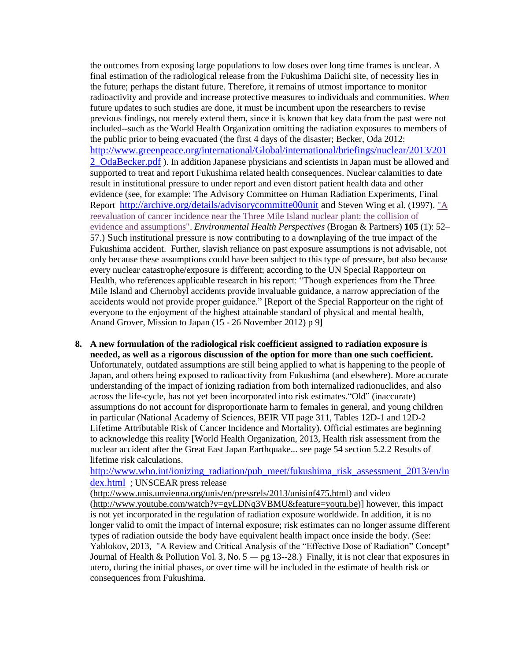the outcomes from exposing large populations to low doses over long time frames is unclear. A final estimation of the radiological release from the Fukushima Daiichi site, of necessity lies in the future; perhaps the distant future. Therefore, it remains of utmost importance to monitor radioactivity and provide and increase protective measures to individuals and communities. *When* future updates to such studies are done, it must be incumbent upon the researchers to revise previous findings, not merely extend them, since it is known that key data from the past were not included--such as the World Health Organization omitting the radiation exposures to members of the public prior to being evacuated (the first 4 days of the disaster; Becker, Oda 2012: [http://www.greenpeace.org/international/Global/international/briefings/nuclear/2013/201](http://www.greenpeace.org/international/Global/international/briefings/nuclear/2013/2012_OdaBecker.pdf) [2\\_OdaBecker.pdf](http://www.greenpeace.org/international/Global/international/briefings/nuclear/2013/2012_OdaBecker.pdf) ). In addition Japanese physicians and scientists in Japan must be allowed and supported to treat and report Fukushima related health consequences. Nuclear calamities to date result in institutional pressure to under report and even distort patient health data and other evidence (see, for example: The Advisory Committee on Human Radiation Experiments, Final Report <http://archive.org/details/advisorycommitte00unit> and Steven Wing et al. (1997). "A [reevaluation of cancer incidence near the Three Mile Island nuclear plant: the collision of](http://www.ehponline.org/docs/1997/105-1/wingabs.html)  [evidence and assumptions".](http://www.ehponline.org/docs/1997/105-1/wingabs.html) *Environmental Health Perspectives* (Brogan & Partners) **105** (1): 52– 57.) Such institutional pressure is now contributing to a downplaying of the true impact of the Fukushima accident. Further, slavish reliance on past exposure assumptions is not advisable, not only because these assumptions could have been subject to this type of pressure, but also because every nuclear catastrophe/exposure is different; according to the UN Special Rapporteur on Health, who references applicable research in his report: "Though experiences from the Three Mile Island and Chernobyl accidents provide invaluable guidance, a narrow appreciation of the accidents would not provide proper guidance." [Report of the Special Rapporteur on the right of everyone to the enjoyment of the highest attainable standard of physical and mental health, Anand Grover, Mission to Japan (15 - 26 November 2012) p 9]

**8. A new formulation of the radiological risk coefficient assigned to radiation exposure is needed, as well as a rigorous discussion of the option for more than one such coefficient.**  Unfortunately, outdated assumptions are still being applied to what is happening to the people of Japan, and others being exposed to radioactivity from Fukushima (and elsewhere). More accurate understanding of the impact of ionizing radiation from both internalized radionuclides, and also across the life-cycle, has not yet been incorporated into risk estimates."Old" (inaccurate) assumptions do not account for disproportionate harm to females in general, and young children in particular (National Academy of Sciences, BEIR VII page 311, Tables 12D-1 and 12D-2 Lifetime Attributable Risk of Cancer Incidence and Mortality). Official estimates are beginning to acknowledge this reality [World Health Organization, 2013, Health risk assessment from the nuclear accident after the Great East Japan Earthquake... see page 54 section 5.2.2 Results of lifetime risk calculations.

[http://www.who.int/ionizing\\_radiation/pub\\_meet/fukushima\\_risk\\_assessment\\_2013/en/in](http://www.who.int/ionizing_radiation/pub_meet/fukushima_risk_assessment_2013/en/index.html) [dex.html](http://www.who.int/ionizing_radiation/pub_meet/fukushima_risk_assessment_2013/en/index.html) ; UNSCEAR press release

[\(http://www.unis.unvienna.org/unis/en/pressrels/2013/unisinf475.html\)](http://www.unis.unvienna.org/unis/en/pressrels/2013/unisinf475.html) and video [\(http://www.youtube.com/watch?v=gyLDNq3VBMU&feature=youtu.be\)](http://www.youtube.com/watch?v=gyLDNq3VBMU&feature=youtu.be)] however, this impact is not yet incorporated in the regulation of radiation exposure worldwide. In addition, it is no longer valid to omit the impact of internal exposure; risk estimates can no longer assume different types of radiation outside the body have equivalent health impact once inside the body. (See: Yablokov, 2013, "A Review and Critical Analysis of the "Effective Dose of Radiation" Concept" Journal of Health & Pollution Vol. 3, No.  $5 - \text{pg } 13 - 28$ .) Finally, it is not clear that exposures in utero, during the initial phases, or over time will be included in the estimate of health risk or consequences from Fukushima.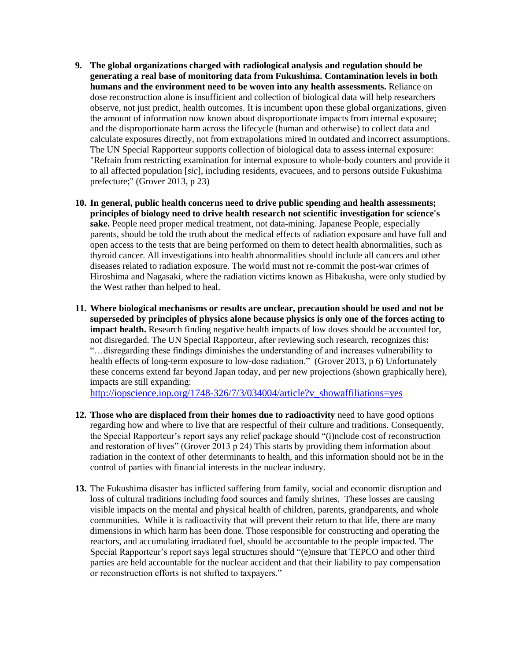- **9. The global organizations charged with radiological analysis and regulation should be generating a real base of monitoring data from Fukushima. Contamination levels in both humans and the environment need to be woven into any health assessments.** Reliance on dose reconstruction alone is insufficient and collection of biological data will help researchers observe, not just predict, health outcomes. It is incumbent upon these global organizations, given the amount of information now known about disproportionate impacts from internal exposure; and the disproportionate harm across the lifecycle (human and otherwise) to collect data and calculate exposures directly, not from extrapolations mired in outdated and incorrect assumptions. The UN Special Rapporteur supports collection of biological data to assess internal exposure: "Refrain from restricting examination for internal exposure to whole-body counters and provide it to all affected population [*sic*], including residents, evacuees, and to persons outside Fukushima prefecture;" (Grover 2013, p 23)
- **10. In general, public health concerns need to drive public spending and health assessments; principles of biology need to drive health research not scientific investigation for science's sake.** People need proper medical treatment, not data-mining. Japanese People, especially parents, should be told the truth about the medical effects of radiation exposure and have full and open access to the tests that are being performed on them to detect health abnormalities, such as thyroid cancer. All investigations into health abnormalities should include all cancers and other diseases related to radiation exposure. The world must not re-commit the post-war crimes of Hiroshima and Nagasaki, where the radiation victims known as Hibakusha, were only studied by the West rather than helped to heal.
- **11. Where biological mechanisms or results are unclear, precaution should be used and not be superseded by principles of physics alone because physics is only one of the forces acting to impact health.** Research finding negative health impacts of low doses should be accounted for, not disregarded. The UN Special Rapporteur, after reviewing such research, recognizes this**:** "…disregarding these findings diminishes the understanding of and increases vulnerability to health effects of long-term exposure to low-dose radiation." (Grover 2013, p 6) Unfortunately these concerns extend far beyond Japan today, and per new projections (shown graphically here), impacts are still expanding:

[http://iopscience.iop.org/1748-326/7/3/034004/article?v\\_showaffiliations=yes](http://iopscience.iop.org/1748-9326/7/3/034004/article?v_showaffiliations=yes)

- **12. Those who are displaced from their homes due to radioactivity** need to have good options regarding how and where to live that are respectful of their culture and traditions. Consequently, the Special Rapporteur's report says any relief package should "(i)nclude cost of reconstruction and restoration of lives" (Grover 2013 p 24) This starts by providing them information about radiation in the context of other determinants to health, and this information should not be in the control of parties with financial interests in the nuclear industry.
- **13.** The Fukushima disaster has inflicted suffering from family, social and economic disruption and loss of cultural traditions including food sources and family shrines. These losses are causing visible impacts on the mental and physical health of children, parents, grandparents, and whole communities. While it is radioactivity that will prevent their return to that life, there are many dimensions in which harm has been done. Those responsible for constructing and operating the reactors, and accumulating irradiated fuel, should be accountable to the people impacted. The Special Rapporteur's report says legal structures should "(e)nsure that TEPCO and other third parties are held accountable for the nuclear accident and that their liability to pay compensation or reconstruction efforts is not shifted to taxpayers."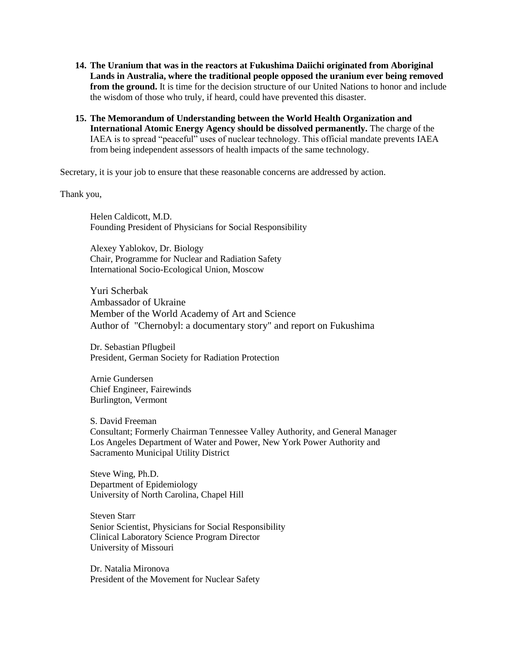- **14. The Uranium that was in the reactors at Fukushima Daiichi originated from Aboriginal Lands in Australia, where the traditional people opposed the uranium ever being removed from the ground.** It is time for the decision structure of our United Nations to honor and include the wisdom of those who truly, if heard, could have prevented this disaster.
- **15. The Memorandum of Understanding between the World Health Organization and International Atomic Energy Agency should be dissolved permanently.** The charge of the IAEA is to spread "peaceful" uses of nuclear technology. This official mandate prevents IAEA from being independent assessors of health impacts of the same technology.

Secretary, it is your job to ensure that these reasonable concerns are addressed by action.

Thank you,

Helen Caldicott, M.D. Founding President of Physicians for Social Responsibility

Alexey Yablokov, Dr. Biology Chair, Programme for Nuclear and Radiation Safety International Socio-Ecological Union, Moscow

Yuri Scherbak Ambassador of Ukraine Member of the World Academy of Art and Science Author of "Chernobyl: a documentary story" and report on Fukushima

Dr. Sebastian Pflugbeil President, German Society for Radiation Protection

Arnie Gundersen Chief Engineer, Fairewinds Burlington, Vermont

S. David Freeman Consultant; Formerly Chairman Tennessee Valley Authority, and General Manager Los Angeles Department of Water and Power, New York Power Authority and Sacramento Municipal Utility District

Steve Wing, Ph.D. Department of Epidemiology University of North Carolina, Chapel Hill

Steven Starr Senior Scientist, Physicians for Social Responsibility Clinical Laboratory Science Program Director University of Missouri

Dr. Natalia Mironova President of the Movement for Nuclear Safety